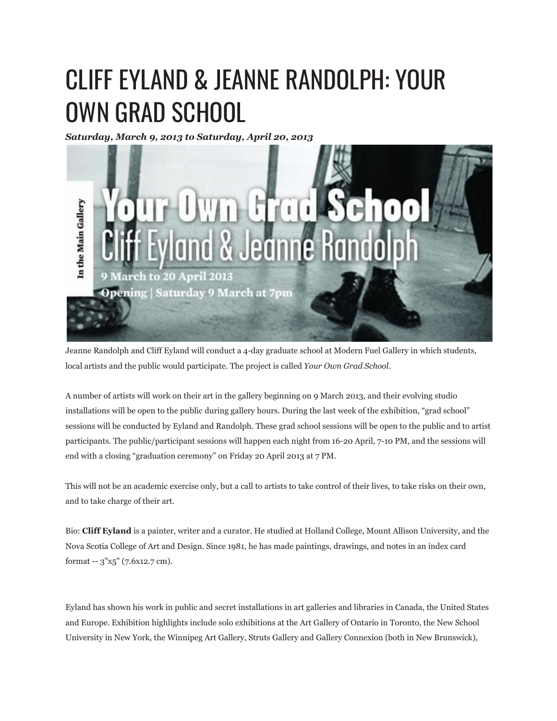## CLIFF EYLAND & JEANNE RANDOLPH: YOUR OWN GRAD SCHOOL

*Saturday, March 9, 2013 to Saturday, April 20, 2013*



Jeanne Randolph and Cliff Eyland will conduct a 4-day graduate school at Modern Fuel Gallery in which students, local artists and the public would participate. The project is called *Your Own Grad School*.

A number of artists will work on their art in the gallery beginning on 9 March 2013, and their evolving studio installations will be open to the public during gallery hours. During the last week of the exhibition, "grad school" sessions will be conducted by Eyland and Randolph. These grad school sessions will be open to the public and to artist participants. The public/participant sessions will happen each night from 16-20 April, 7-10 PM, and the sessions will end with a closing "graduation ceremony" on Friday 20 April 2013 at 7 PM.

This will not be an academic exercise only, but a call to artists to take control of their lives, to take risks on their own, and to take charge of their art.

Bio: **Cliff Eyland** is a painter, writer and a curator. He studied at Holland College, Mount Allison University, and the Nova Scotia College of Art and Design. Since 1981, he has made paintings, drawings, and notes in an index card format -- 3"x5" (7.6x12.7 cm).

Eyland has shown his work in public and secret installations in art galleries and libraries in Canada, the United States and Europe. Exhibition highlights include solo exhibitions at the Art Gallery of Ontario in Toronto, the New School University in New York, the Winnipeg Art Gallery, Struts Gallery and Gallery Connexion (both in New Brunswick),